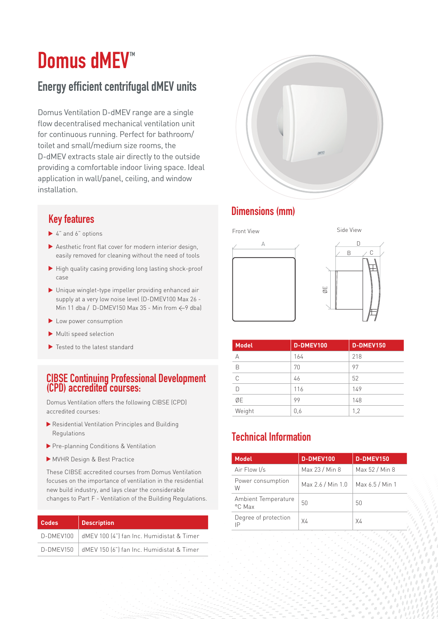# **Domus dMEV<sup>™</sup>**

# Energy efficient centrifugal dMEV units

Domus Ventilation D-dMEV range are a single flow decentralised mechanical ventilation unit for continuous running. Perfect for bathroom/ toilet and small/medium size rooms, the D-dMEV extracts stale air directly to the outside providing a comfortable indoor living space. Ideal application in wall/panel, ceiling, and window installation.

- ▶ 4" and 6" options
- Aesthetic front flat cover for modern interior design, easily removed for cleaning without the need of tools
- $\blacktriangleright$  High quality casing providing long lasting shock-proof case
- Unique winglet-type impeller providing enhanced air supply at a very low noise level (D-DMEV100 Max 26 - Min 11 dba / D-DMEV150 Max 35 - Min from  $\leftarrow$ 9 dba)
- Low power consumption
- Multi speed selection
- ▶ Tested to the latest standard

### CIBSE Continuing Professional Development (CPD) accredited courses:

Domus Ventilation offers the following CIBSE (CPD) accredited courses:

- Residential Ventilation Principles and Building Regulations
- Pre-planning Conditions & Ventilation
- MVHR Design & Best Practice

These CIBSE accredited courses from Domus Ventilation focuses on the importance of ventilation in the residential new build industry, and lays clear the considerable changes to Part F - Ventilation of the Building Regulations.

| <b>Codes</b> | <b>Description</b>                                    | Degree of protection | X4 |
|--------------|-------------------------------------------------------|----------------------|----|
|              | D-DMEV100   dMEV 100 (4") fan Inc. Humidistat & Timer |                      |    |
|              | D-DMEV150   dMEV 150 [6"] fan Inc. Humidistat & Timer |                      |    |



# Dimensions (mm) Key features



|  | Side View |  |
|--|-----------|--|
|  |           |  |



| <b>Model</b> | D-DMEV100 | D-DMEV150 |
|--------------|-----------|-----------|
| А            | 164       | 218       |
| B            | 70        | 97        |
| C            | 46        | 52        |
| D            | 116       | 149       |
| ØE           | 99        | 148       |
| Weight       | 0,6       | 1,2       |

# Technical Information

| <b>Model</b>                  | D-DMEV100         | D-DMEV150       |
|-------------------------------|-------------------|-----------------|
| Air Flow I/s                  | Max 23 / Min 8    | Max 52 / Min 8  |
| Power consumption<br>W        | Max 2.6 / Min 1.0 | Max 6.5 / Min 1 |
| Ambient Temperature<br>°C Max | 50                | 50              |
| Degree of protection<br>ΙP    | X4                | X4              |